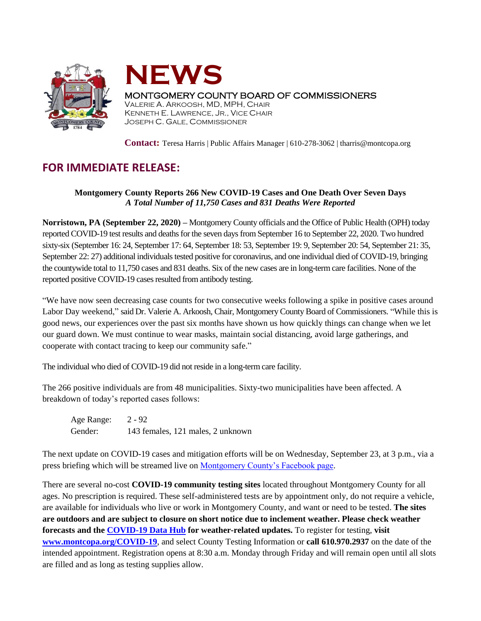



## MONTGOMERY COUNTY BOARD OF COMMISSIONERS

VALERIE A. ARKOOSH, MD, MPH, CHAIR KENNETH E. LAWRENCE, JR., VICE CHAIR JOSEPH C. GALE, COMMISSIONER

**Contact:** Teresa Harris | Public Affairs Manager | 610-278-3062 | tharris@montcopa.org

## **FOR IMMEDIATE RELEASE:**

## **Montgomery County Reports 266 New COVID-19 Cases and One Death Over Seven Days** *A Total Number of 11,750 Cases and 831 Deaths Were Reported*

**Norristown, PA (September 22, 2020) –** Montgomery County officials and the Office of Public Health (OPH) today reported COVID-19 test results and deaths for the seven daysfrom September 16 to September 22, 2020. Two hundred sixty-six (September 16: 24, September 17: 64, September 18: 53, September 19: 9, September 20: 54, September 21: 35, September 22: 27) additional individuals tested positive for coronavirus, and one individual died of COVID-19, bringing the countywide total to 11,750 cases and 831 deaths. Six of the new cases are in long-term care facilities. None of the reported positive COVID-19 cases resulted from antibody testing.

"We have now seen decreasing case counts for two consecutive weeks following a spike in positive cases around Labor Day weekend," said Dr. Valerie A. Arkoosh, Chair, Montgomery County Board of Commissioners. "While this is good news, our experiences over the past six months have shown us how quickly things can change when we let our guard down. We must continue to wear masks, maintain social distancing, avoid large gatherings, and cooperate with contact tracing to keep our community safe."

The individual who died of COVID-19 did not reside in a long-term care facility.

The 266 positive individuals are from 48 municipalities. Sixty-two municipalities have been affected. A breakdown of today's reported cases follows:

Age Range: 2 - 92 Gender: 143 females, 121 males, 2 unknown

The next update on COVID-19 cases and mitigation efforts will be on Wednesday, September 23, at 3 p.m., via a press briefing which will be streamed live on [Montgomery County's Facebook page.](https://www.facebook.com/montgomery.county.pa/)

There are several no-cost **COVID-19 community testing sites** located throughout Montgomery County for all ages. No prescription is required. These self-administered tests are by appointment only, do not require a vehicle, are available for individuals who live or work in Montgomery County, and want or need to be tested. **The sites are outdoors and are subject to closure on short notice due to inclement weather. Please check weather forecasts and the [COVID-19 Data Hub](https://data-montcopa.opendata.arcgis.com/pages/covid-19) for weather-related updates.** To register for testing, **visit [www.montcopa.org/COVID-19](http://www.montcopa.org/COVID-19)**, and select County Testing Information or **call 610.970.2937** on the date of the intended appointment. Registration opens at 8:30 a.m. Monday through Friday and will remain open until all slots are filled and as long as testing supplies allow.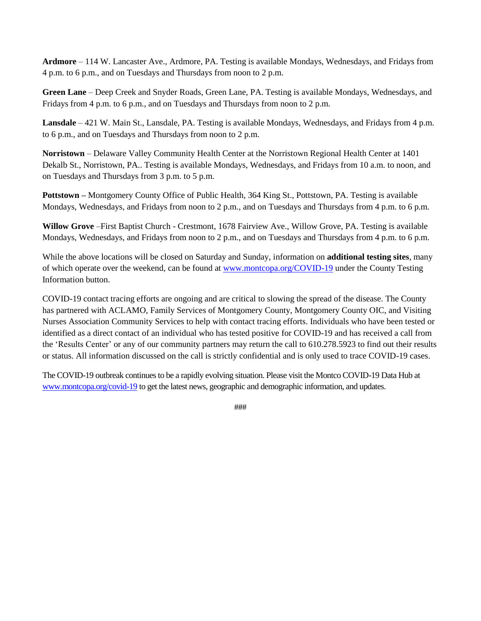**Ardmore** – 114 W. Lancaster Ave., Ardmore, PA. Testing is available Mondays, Wednesdays, and Fridays from 4 p.m. to 6 p.m., and on Tuesdays and Thursdays from noon to 2 p.m.

**Green Lane** – Deep Creek and Snyder Roads, Green Lane, PA. Testing is available Mondays, Wednesdays, and Fridays from 4 p.m. to 6 p.m., and on Tuesdays and Thursdays from noon to 2 p.m.

**Lansdale** – 421 W. Main St., Lansdale, PA. Testing is available Mondays, Wednesdays, and Fridays from 4 p.m. to 6 p.m., and on Tuesdays and Thursdays from noon to 2 p.m.

**Norristown** – Delaware Valley Community Health Center at the Norristown Regional Health Center at 1401 Dekalb St., Norristown, PA.. Testing is available Mondays, Wednesdays, and Fridays from 10 a.m. to noon, and on Tuesdays and Thursdays from 3 p.m. to 5 p.m.

**Pottstown –** Montgomery County Office of Public Health, 364 King St., Pottstown, PA. Testing is available Mondays, Wednesdays, and Fridays from noon to 2 p.m., and on Tuesdays and Thursdays from 4 p.m. to 6 p.m.

**Willow Grove** –First Baptist Church - Crestmont, 1678 Fairview Ave., Willow Grove, PA. Testing is available Mondays, Wednesdays, and Fridays from noon to 2 p.m., and on Tuesdays and Thursdays from 4 p.m. to 6 p.m.

While the above locations will be closed on Saturday and Sunday, information on **additional testing sites**, many of which operate over the weekend, can be found at [www.montcopa.org/COVID-19](http://www.montcopa.org/COVID-19) under the County Testing Information button.

COVID-19 contact tracing efforts are ongoing and are critical to slowing the spread of the disease. The County has partnered with ACLAMO, Family Services of Montgomery County, Montgomery County OIC, and Visiting Nurses Association Community Services to help with contact tracing efforts. Individuals who have been tested or identified as a direct contact of an individual who has tested positive for COVID-19 and has received a call from the 'Results Center' or any of our community partners may return the call to 610.278.5923 to find out their results or status. All information discussed on the call is strictly confidential and is only used to trace COVID-19 cases.

The COVID-19 outbreak continues to be a rapidly evolving situation. Please visit the Montco COVID-19 Data Hub at [www.montcopa.org/covid-19](http://www.montcopa.org/covid-19) to get the latest news, geographic and demographic information, and updates.

###